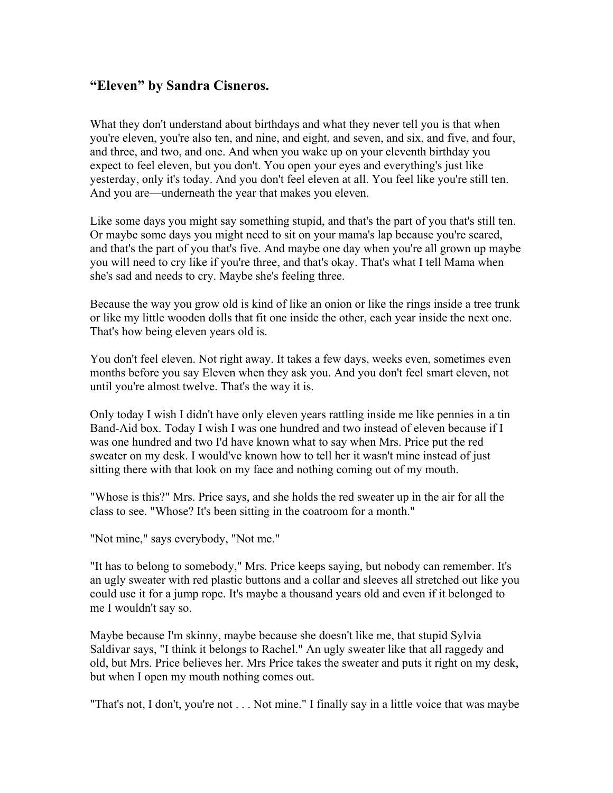## **"Eleven" by Sandra Cisneros.**

What they don't understand about birthdays and what they never tell you is that when you're eleven, you're also ten, and nine, and eight, and seven, and six, and five, and four, and three, and two, and one. And when you wake up on your eleventh birthday you expect to feel eleven, but you don't. You open your eyes and everything's just like yesterday, only it's today. And you don't feel eleven at all. You feel like you're still ten. And you are—underneath the year that makes you eleven.

Like some days you might say something stupid, and that's the part of you that's still ten. Or maybe some days you might need to sit on your mama's lap because you're scared, and that's the part of you that's five. And maybe one day when you're all grown up maybe you will need to cry like if you're three, and that's okay. That's what I tell Mama when she's sad and needs to cry. Maybe she's feeling three.

Because the way you grow old is kind of like an onion or like the rings inside a tree trunk or like my little wooden dolls that fit one inside the other, each year inside the next one. That's how being eleven years old is.

You don't feel eleven. Not right away. It takes a few days, weeks even, sometimes even months before you say Eleven when they ask you. And you don't feel smart eleven, not until you're almost twelve. That's the way it is.

Only today I wish I didn't have only eleven years rattling inside me like pennies in a tin Band-Aid box. Today I wish I was one hundred and two instead of eleven because if I was one hundred and two I'd have known what to say when Mrs. Price put the red sweater on my desk. I would've known how to tell her it wasn't mine instead of just sitting there with that look on my face and nothing coming out of my mouth.

"Whose is this?" Mrs. Price says, and she holds the red sweater up in the air for all the class to see. "Whose? It's been sitting in the coatroom for a month."

"Not mine," says everybody, "Not me."

"It has to belong to somebody," Mrs. Price keeps saying, but nobody can remember. It's an ugly sweater with red plastic buttons and a collar and sleeves all stretched out like you could use it for a jump rope. It's maybe a thousand years old and even if it belonged to me I wouldn't say so.

Maybe because I'm skinny, maybe because she doesn't like me, that stupid Sylvia Saldivar says, "I think it belongs to Rachel." An ugly sweater like that all raggedy and old, but Mrs. Price believes her. Mrs Price takes the sweater and puts it right on my desk, but when I open my mouth nothing comes out.

"That's not, I don't, you're not . . . Not mine." I finally say in a little voice that was maybe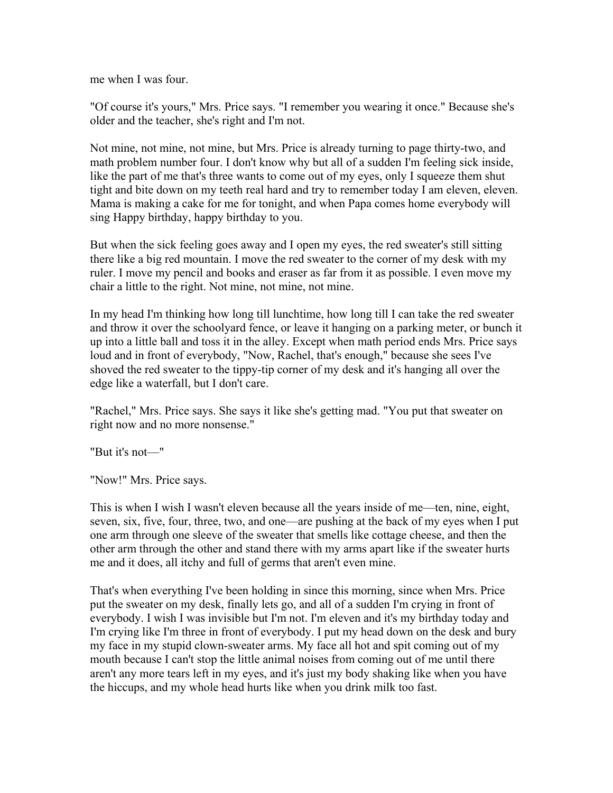me when I was four.

"Of course it's yours," Mrs. Price says. "I remember you wearing it once." Because she's older and the teacher, she's right and I'm not.

Not mine, not mine, not mine, but Mrs. Price is already turning to page thirty-two, and math problem number four. I don't know why but all of a sudden I'm feeling sick inside, like the part of me that's three wants to come out of my eyes, only I squeeze them shut tight and bite down on my teeth real hard and try to remember today I am eleven, eleven. Mama is making a cake for me for tonight, and when Papa comes home everybody will sing Happy birthday, happy birthday to you.

But when the sick feeling goes away and I open my eyes, the red sweater's still sitting there like a big red mountain. I move the red sweater to the corner of my desk with my ruler. I move my pencil and books and eraser as far from it as possible. I even move my chair a little to the right. Not mine, not mine, not mine.

In my head I'm thinking how long till lunchtime, how long till I can take the red sweater and throw it over the schoolyard fence, or leave it hanging on a parking meter, or bunch it up into a little ball and toss it in the alley. Except when math period ends Mrs. Price says loud and in front of everybody, "Now, Rachel, that's enough," because she sees I've shoved the red sweater to the tippy-tip corner of my desk and it's hanging all over the edge like a waterfall, but I don't care.

"Rachel," Mrs. Price says. She says it like she's getting mad. "You put that sweater on right now and no more nonsense."

"But it's not—"

"Now!" Mrs. Price says.

This is when I wish I wasn't eleven because all the years inside of me—ten, nine, eight, seven, six, five, four, three, two, and one—are pushing at the back of my eyes when I put one arm through one sleeve of the sweater that smells like cottage cheese, and then the other arm through the other and stand there with my arms apart like if the sweater hurts me and it does, all itchy and full of germs that aren't even mine.

That's when everything I've been holding in since this morning, since when Mrs. Price put the sweater on my desk, finally lets go, and all of a sudden I'm crying in front of everybody. I wish I was invisible but I'm not. I'm eleven and it's my birthday today and I'm crying like I'm three in front of everybody. I put my head down on the desk and bury my face in my stupid clown-sweater arms. My face all hot and spit coming out of my mouth because I can't stop the little animal noises from coming out of me until there aren't any more tears left in my eyes, and it's just my body shaking like when you have the hiccups, and my whole head hurts like when you drink milk too fast.